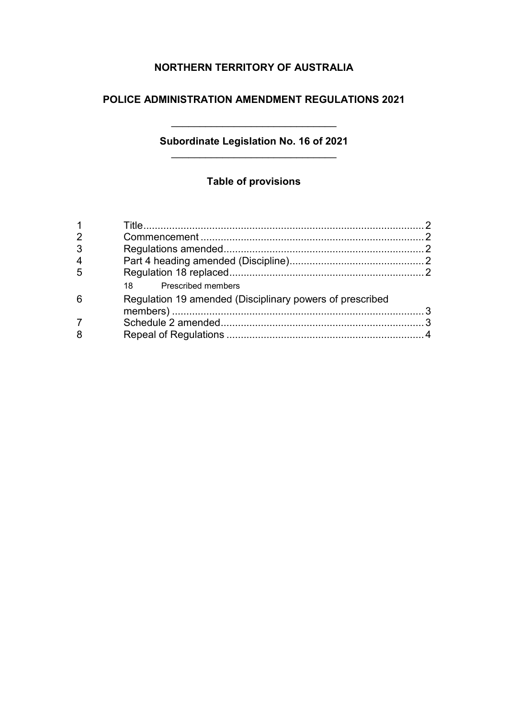# **NORTHERN TERRITORY OF AUSTRALIA**

### **POLICE ADMINISTRATION AMENDMENT REGULATIONS 2021**

## **Subordinate Legislation No. 16 of 2021** \_\_\_\_\_\_\_\_\_\_\_\_\_\_\_\_\_\_\_\_\_\_\_\_\_\_\_\_\_

\_\_\_\_\_\_\_\_\_\_\_\_\_\_\_\_\_\_\_\_\_\_\_\_\_\_\_\_\_

# **Table of provisions**

| $\overline{2}$ |                                                          |  |
|----------------|----------------------------------------------------------|--|
| 3              |                                                          |  |
| $\overline{4}$ |                                                          |  |
| 5              |                                                          |  |
|                | 18 Prescribed members                                    |  |
| 6              | Regulation 19 amended (Disciplinary powers of prescribed |  |
|                |                                                          |  |
|                |                                                          |  |
| 8              |                                                          |  |
|                |                                                          |  |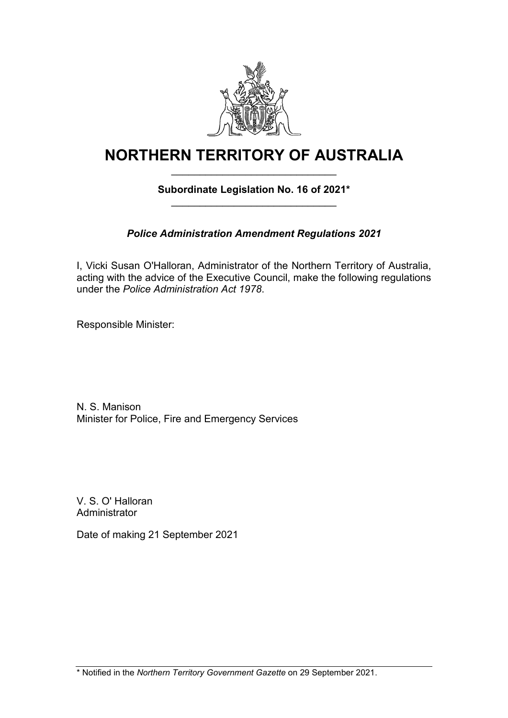

# **NORTHERN TERRITORY OF AUSTRALIA** \_\_\_\_\_\_\_\_\_\_\_\_\_\_\_\_\_\_\_\_\_\_\_\_\_\_\_\_\_

# **Subordinate Legislation No. 16 of 2021\*** \_\_\_\_\_\_\_\_\_\_\_\_\_\_\_\_\_\_\_\_\_\_\_\_\_\_\_\_\_

# *Police Administration Amendment Regulations 2021*

I, Vicki Susan O'Halloran, Administrator of the Northern Territory of Australia, acting with the advice of the Executive Council, make the following regulations under the *Police Administration Act 1978*.

Responsible Minister:

N. S. Manison Minister for Police, Fire and Emergency Services

V. S. O' Halloran **Administrator** 

Date of making 21 September 2021

\* Notified in the *Northern Territory Government Gazette* on 29 September 2021.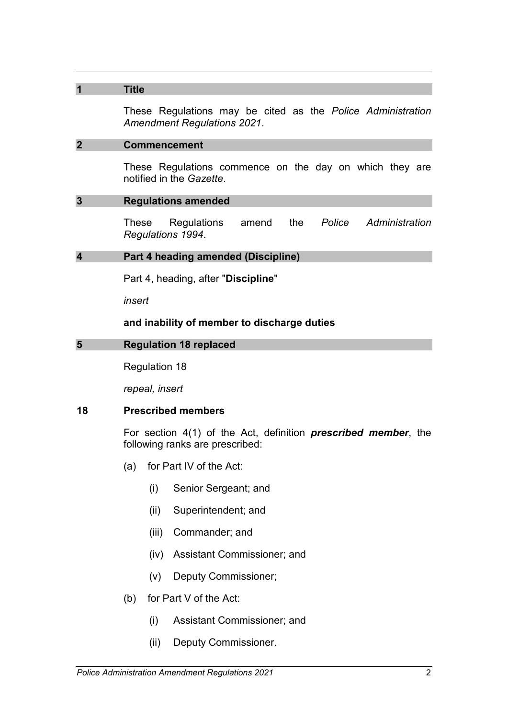### **1 Title**

These Regulations may be cited as the *Police Administration Amendment Regulations 2021*.

### **2 Commencement**

These Regulations commence on the day on which they are notified in the *Gazette*.

#### **3 Regulations amended**

These Regulations amend the *Police Administration Regulations 1994*.

### **4 Part 4 heading amended (Discipline)**

Part 4, heading, after "**Discipline**"

*insert*

#### **and inability of member to discharge duties**

### **5 Regulation 18 replaced**

Regulation 18

*repeal, insert*

### **18 Prescribed members**

For section 4(1) of the Act, definition *prescribed member*, the following ranks are prescribed:

- (a) for Part IV of the Act:
	- (i) Senior Sergeant; and
	- (ii) Superintendent; and
	- (iii) Commander; and
	- (iv) Assistant Commissioner; and
	- (v) Deputy Commissioner;
- (b) for Part V of the Act:
	- (i) Assistant Commissioner; and
	- (ii) Deputy Commissioner.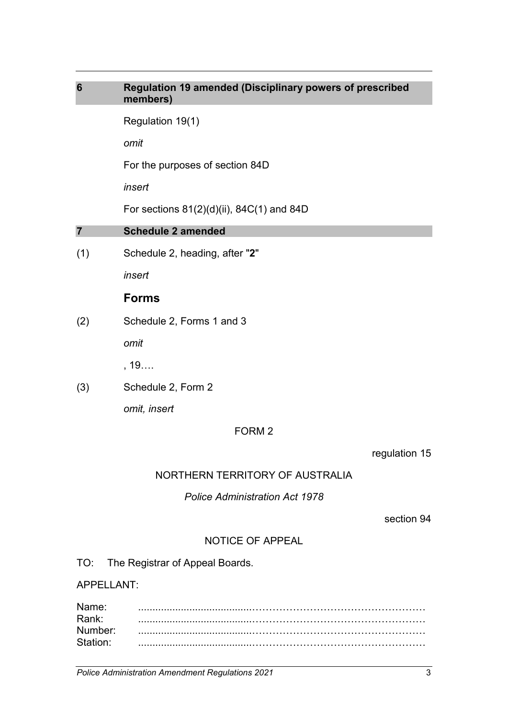| $6\phantom{1}6$ | Regulation 19 amended (Disciplinary powers of prescribed<br>members) |
|-----------------|----------------------------------------------------------------------|
|                 | Regulation 19(1)                                                     |
|                 | omit                                                                 |
|                 | For the purposes of section 84D                                      |
|                 | insert                                                               |
|                 | For sections $81(2)(d)(ii)$ , $84C(1)$ and $84D$                     |
| $\overline{7}$  | <b>Schedule 2 amended</b>                                            |
| (1)             | Schedule 2, heading, after "2"                                       |
|                 | insert                                                               |
|                 | <b>Forms</b>                                                         |
| (2)             | Schedule 2, Forms 1 and 3                                            |
|                 | omit                                                                 |
|                 | , 19                                                                 |
| (3)             | Schedule 2, Form 2                                                   |
|                 | omit, insert                                                         |
|                 | FORM <sub>2</sub>                                                    |

regulation 15

# NORTHERN TERRITORY OF AUSTRALIA

*Police Administration Act 1978*

section 94

# NOTICE OF APPEAL

TO: The Registrar of Appeal Boards.

APPELLANT:

| Name:    |  |
|----------|--|
| Rank:    |  |
| Number:  |  |
| Station: |  |